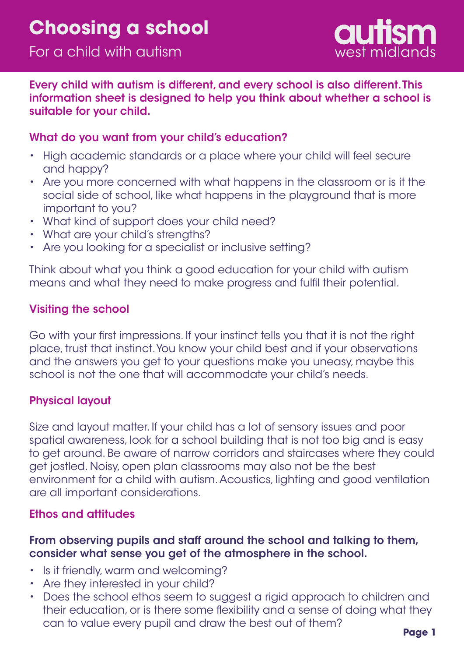

Every child with autism is different, and every school is also different. This information sheet is designed to help you think about whether a school is suitable for your child.

## What do you want from your child's education?

- High academic standards or a place where your child will feel secure and happy?
- Are you more concerned with what happens in the classroom or is it the social side of school, like what happens in the playground that is more important to you?
- What kind of support does your child need?
- What are your child's strengths?
- Are you looking for a specialist or inclusive setting?

Think about what you think a good education for your child with autism means and what they need to make progress and fulfil their potential.

## Visiting the school

Go with your first impressions. If your instinct tells you that it is not the right place, trust that instinct. You know your child best and if your observations and the answers you get to your questions make you uneasy, maybe this school is not the one that will accommodate your child's needs.

## Physical layout

Size and layout matter. If your child has a lot of sensory issues and poor spatial awareness, look for a school building that is not too big and is easy to get around. Be aware of narrow corridors and staircases where they could get jostled. Noisy, open plan classrooms may also not be the best environment for a child with autism. Acoustics, lighting and good ventilation are all important considerations.

#### Ethos and attitudes

## From observing pupils and staff around the school and talking to them, consider what sense you get of the atmosphere in the school.

- Is it friendly, warm and welcoming?
- Are they interested in your child?
- Does the school ethos seem to suggest a rigid approach to children and •their education, or is there some flexibility and a sense of doing what they can to value every pupil and draw the best out of them?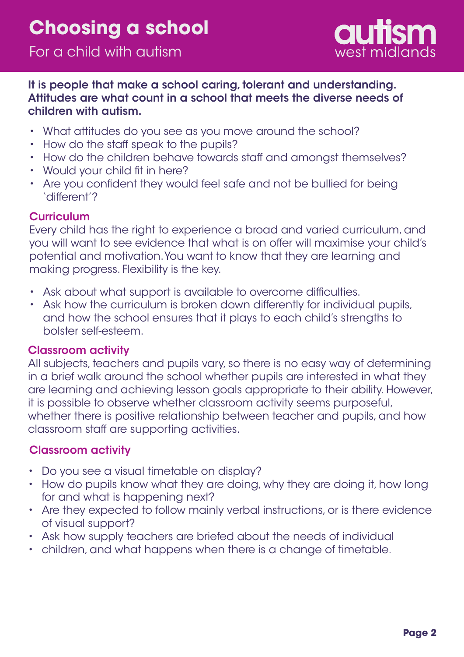

### It is people that make a school caring, tolerant and understanding. Attitudes are what count in a school that meets the diverse needs of children with autism.

- What attitudes do you see as you move around the school?
- How do the staff speak to the pupils?
- How do the children behave towards staff and amongst themselves?
- Would your child fit in here?
- Are you confident they would feel safe and not be bullied for being 'different'?

## **Curriculum**

Every child has the right to experience a broad and varied curriculum, and you will want to see evidence that what is on offer will maximise your child's potential and motivation. You want to know that they are learning and making progress. Flexibility is the key.

- Ask about what support is available to overcome difficulties.
- Ask how the curriculum is broken down differently for individual pupils, and how the school ensures that it plays to each child's strengths to bolster self-esteem.

## Classroom activity

All subjects, teachers and pupils vary, so there is no easy way of determining in a brief walk around the school whether pupils are interested in what they are learning and achieving lesson goals appropriate to their ability. However, it is possible to observe whether classroom activity seems purposeful, whether there is positive relationship between teacher and pupils, and how classroom staff are supporting activities.

## Classroom activity

- Do you see a visual timetable on display?
- How do pupils know what they are doing, why they are doing it, how long for and what is happening next?
- Are they expected to follow mainly verbal instructions, or is there evidence of visual support?
- Ask how supply teachers are briefed about the needs of individual •
- children, and what happens when there is a change of timetable. •